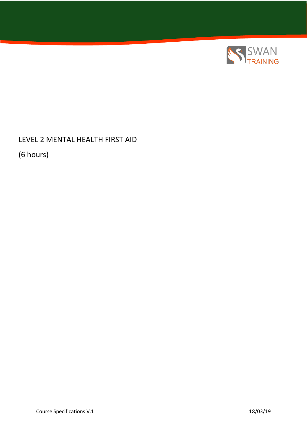

LEVEL 2 MENTAL HEALTH FIRST AID

(6 hours)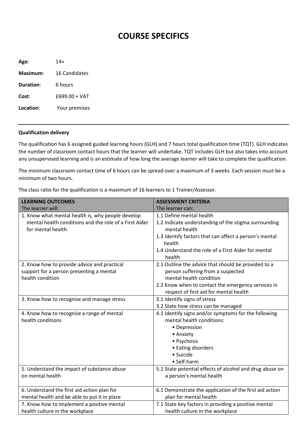## **COURSE SPECIFICS**

**Age**: 14+ **Maximum**: 16 Candidates **Duration**: 6 hours **Cost**: £699.00 + VAT **Location**: Your premises

## **Qualification delivery**

The qualification has 6 assigned guided learning hours (GLH) and 7 hours total qualification time (TQT). GLH indicates the number of classroom contact hours that the learner will undertake. TQT includes GLH but also takes into account any unsupervised learning and is an estimate of how long the average learner will take to complete the qualification.

The minimum classroom contact time of 6 hours can be spread over a maximum of 3 weeks. Each session must be a minimum of two hours.

The class ratio for the qualification is a maximum of 16 learners to 1 Trainer/Assessor.

| <b>LEARNING OUTCOMES</b>                               | <b>ASSESSMENT CRITERIA</b>                                       |
|--------------------------------------------------------|------------------------------------------------------------------|
| The learner will:                                      | The learner can:                                                 |
| 1. Know what mental health is, why people develop      | 1.1 Define mental health                                         |
| mental health conditions and the role of a First Aider | 1.2 Indicate understanding of the stigma surrounding             |
| for mental health                                      | mental health                                                    |
|                                                        | 1.3 Identify factors that can affect a person's mental<br>health |
|                                                        | 1.4 Understand the role of a First Aider for mental<br>health    |
| 2. Know how to provide advice and practical            | 2.1 Outline the advice that should be provided to a              |
| support for a person presenting a mental               | person suffering from a suspected                                |
| health condition                                       | mental health condition                                          |
|                                                        | 2.2 Know when to contact the emergency services in               |
|                                                        | respect of first aid for mental health                           |
| 3. Know how to recognise and manage stress             | 3.1 Identify signs of stress                                     |
|                                                        | 3.2 State how stress can be managed                              |
| 4. Know how to recognise a range of mental             | 4.1 Identify signs and/or symptoms for the following             |
| health conditions                                      | mental health conditions:                                        |
|                                                        | • Depression                                                     |
|                                                        | • Anxiety                                                        |
|                                                        | • Psychosis                                                      |
|                                                        | • Eating disorders                                               |
|                                                        | · Suicide                                                        |
|                                                        | • Self-harm                                                      |
| 5. Understand the impact of substance abuse            | 5.1 State potential effects of alcohol and drug abuse on         |
| on mental health                                       | a person's mental health                                         |
|                                                        |                                                                  |
| 6. Understand the first aid action plan for            | 6.1 Demonstrate the application of the first aid action          |
| mental health and be able to put it in place           | plan for mental health                                           |
| 7. Know how to implement a positive mental             | 7.1 State key factors in providing a positive mental             |
| health culture in the workplace                        | health culture in the workplace                                  |